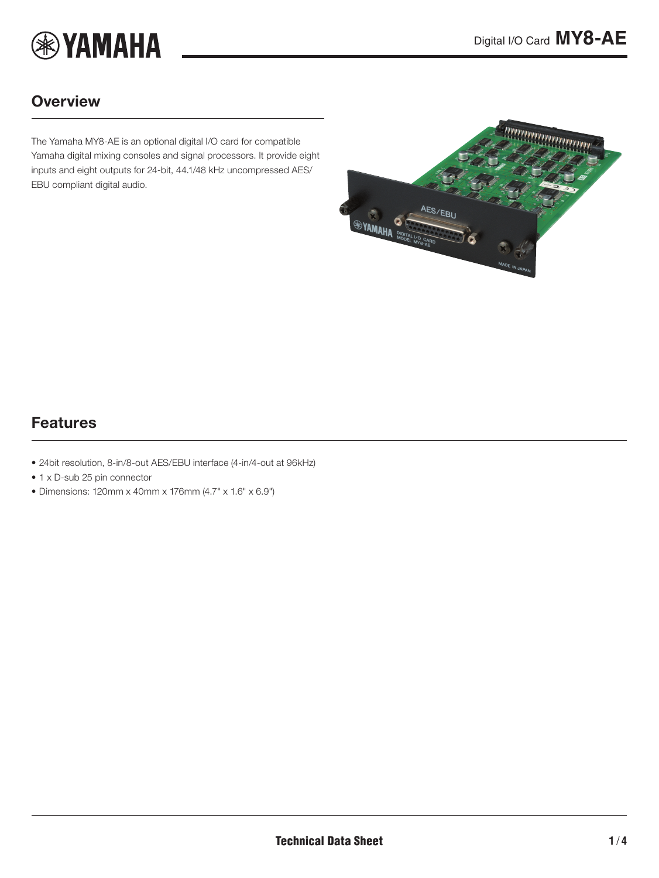

### **Overview**

The Yamaha MY8-AE is an optional digital I/O card for compatible Yamaha digital mixing consoles and signal processors. It provide eight inputs and eight outputs for 24-bit, 44.1/48 kHz uncompressed AES/ EBU compliant digital audio.

<span id="page-0-0"></span>

### Features

- 24bit resolution, 8-in/8-out AES/EBU interface (4-in/4-out at 96kHz)
- 1 x D-sub 25 pin connector
- Dimensions: 120mm x 40mm x 176mm (4.7" x 1.6" x 6.9")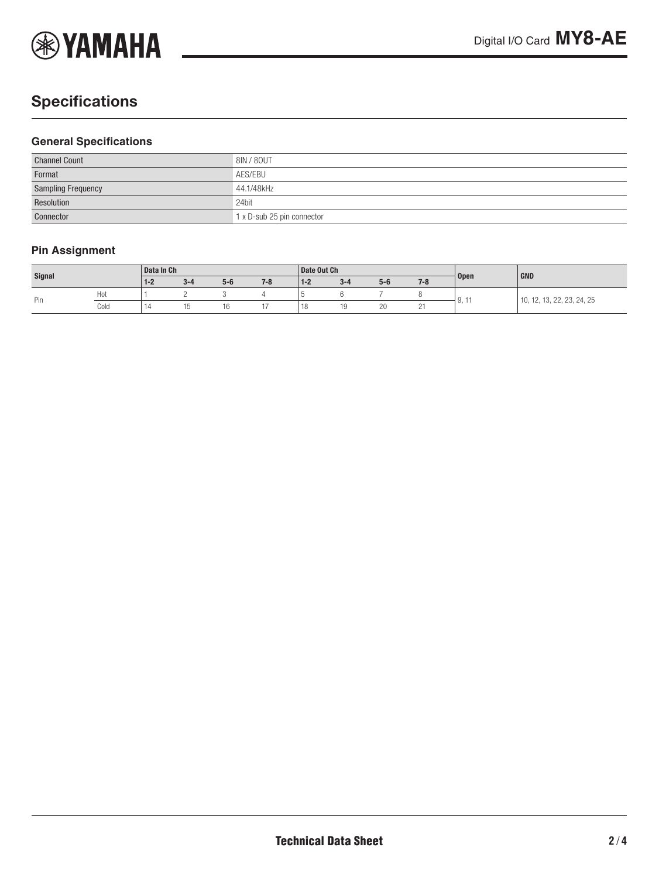

# **Specifications**

#### **General Specifications**

| <b>Channel Count</b>      | 8IN / 80UT                 |
|---------------------------|----------------------------|
| Format                    | AES/EBU                    |
| <b>Sampling Frequency</b> | 44.1/48kHz                 |
| Resolution                | 24bit                      |
| Connector                 | 1 x D-sub 25 pin connector |

#### **Pin Assignment**

| Signal |      | Data In Ch |                   |       | Date Out Ch |             |         |       |         | GND               |                                                                |
|--------|------|------------|-------------------|-------|-------------|-------------|---------|-------|---------|-------------------|----------------------------------------------------------------|
|        |      | $1 - 2$    | $\sim$<br>$3 - 4$ | $5-6$ | $7 - 8$     | $1 - 2$     | $3 - 4$ | $5-6$ | $7 - 8$ | <b>Open</b>       |                                                                |
| Pin    | Hot  |            |                   |       |             |             |         |       |         | $\Omega$<br>J, II | , 22, 23, 24, 25<br>$\sim$<br>$\rightarrow$<br>10.<br>$\cup$ . |
|        | Cold | 14         |                   | ۱b    |             | $-10$<br>10 |         | 20    |         |                   |                                                                |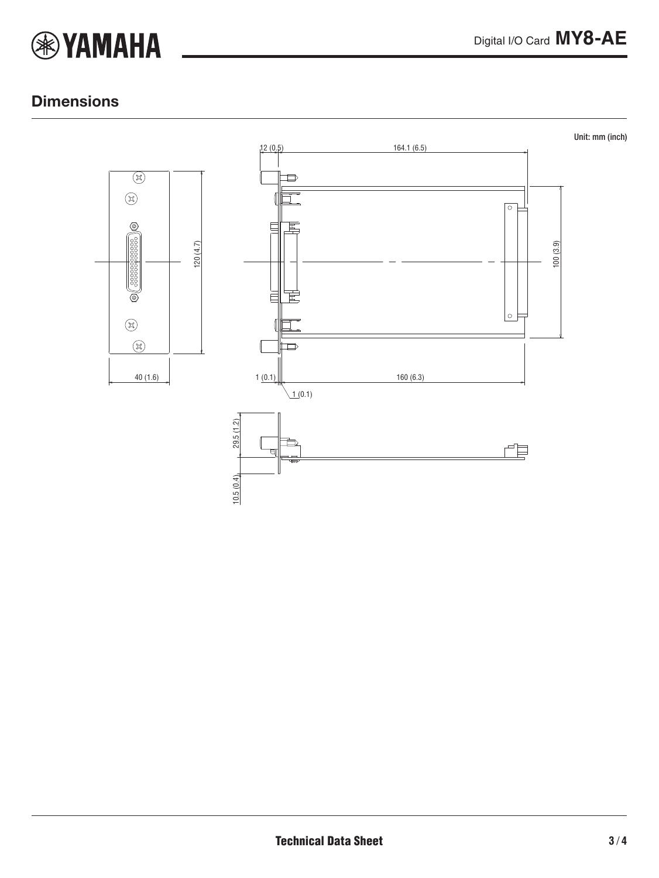

### **Dimensions**